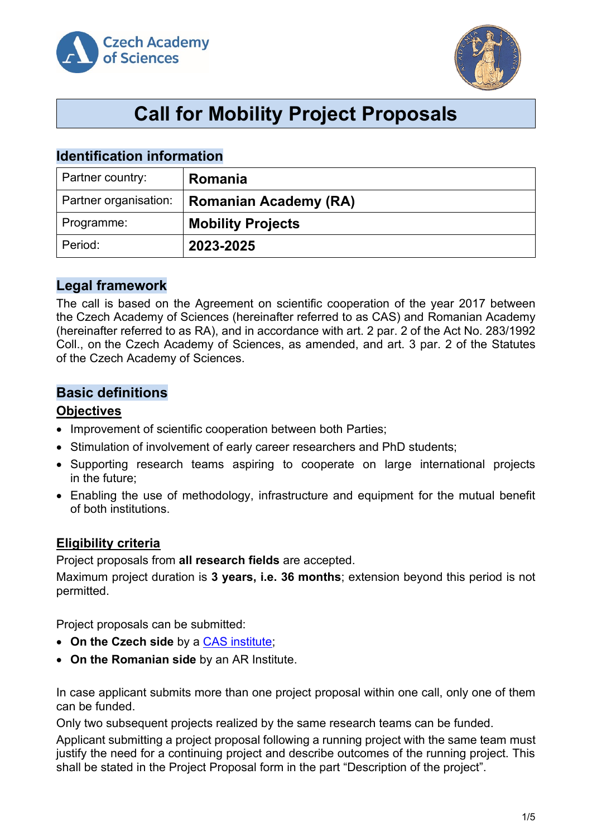



## **Call for Mobility Project Proposals**

## **Identification information**

| Partner country:      | Romania                      |
|-----------------------|------------------------------|
| Partner organisation: | <b>Romanian Academy (RA)</b> |
| Programme:            | <b>Mobility Projects</b>     |
| Period:               | 2023-2025                    |

## **Legal framework**

The call is based on the Agreement on scientific cooperation of the year 2017 between the Czech Academy of Sciences (hereinafter referred to as CAS) and Romanian Academy (hereinafter referred to as RA), and in accordance with art. 2 par. 2 of the Act No. 283/1992 Coll., on the Czech Academy of Sciences, as amended, and art. 3 par. 2 of the Statutes of the Czech Academy of Sciences.

## **Basic definitions**

#### **Objectives**

- Improvement of scientific cooperation between both Parties;
- Stimulation of involvement of early career researchers and PhD students;
- Supporting research teams aspiring to cooperate on large international projects in the future;
- Enabling the use of methodology, infrastructure and equipment for the mutual benefit of both institutions.

#### **Eligibility criteria**

Project proposals from **all research fields** are accepted.

Maximum project duration is **3 years, i.e. 36 months**; extension beyond this period is not permitted.

Project proposals can be submitted:

- On the Czech side by a **CAS** institute;
- **On the Romanian side** by an AR Institute.

In case applicant submits more than one project proposal within one call, only one of them can be funded.

Only two subsequent projects realized by the same research teams can be funded.

Applicant submitting a project proposal following a running project with the same team must justify the need for a continuing project and describe outcomes of the running project. This shall be stated in the Project Proposal form in the part "Description of the project".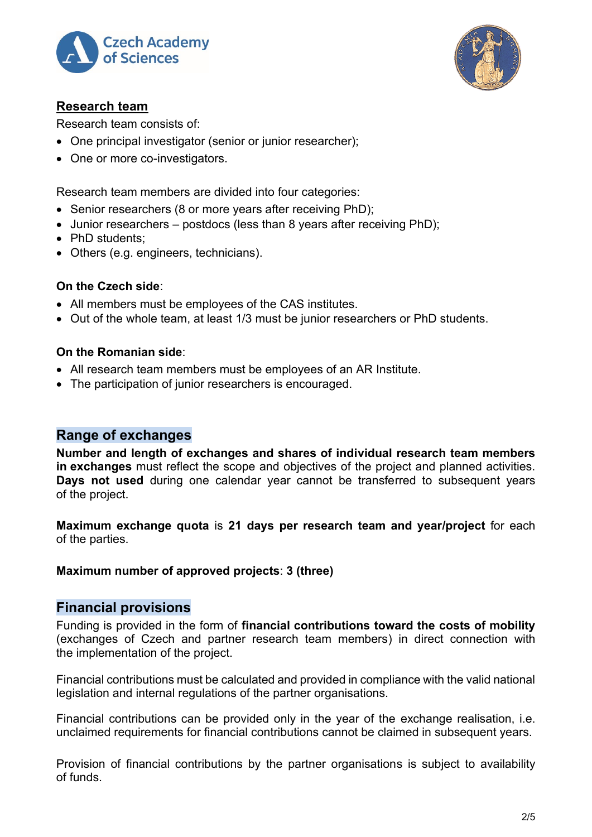



#### **Research team**

Research team consists of:

- One principal investigator (senior or junior researcher);
- One or more co-investigators.

Research team members are divided into four categories:

- Senior researchers (8 or more years after receiving PhD);
- Junior researchers postdocs (less than 8 years after receiving PhD);
- PhD students:
- Others (e.g. engineers, technicians).

#### **On the Czech side**:

- All members must be employees of the CAS institutes.
- Out of the whole team, at least 1/3 must be junior researchers or PhD students.

#### **On the Romanian side**:

- All research team members must be employees of an AR Institute.
- The participation of junior researchers is encouraged.

## **Range of exchanges**

**Number and length of exchanges and shares of individual research team members in exchanges** must reflect the scope and objectives of the project and planned activities. **Days not used** during one calendar year cannot be transferred to subsequent years of the project.

**Maximum exchange quota** is **21 days per research team and year/project** for each of the parties.

#### **Maximum number of approved projects**: **3 (three)**

#### **Financial provisions**

Funding is provided in the form of **financial contributions toward the costs of mobility** (exchanges of Czech and partner research team members) in direct connection with the implementation of the project.

Financial contributions must be calculated and provided in compliance with the valid national legislation and internal regulations of the partner organisations.

Financial contributions can be provided only in the year of the exchange realisation, i.e. unclaimed requirements for financial contributions cannot be claimed in subsequent years.

Provision of financial contributions by the partner organisations is subject to availability of funds.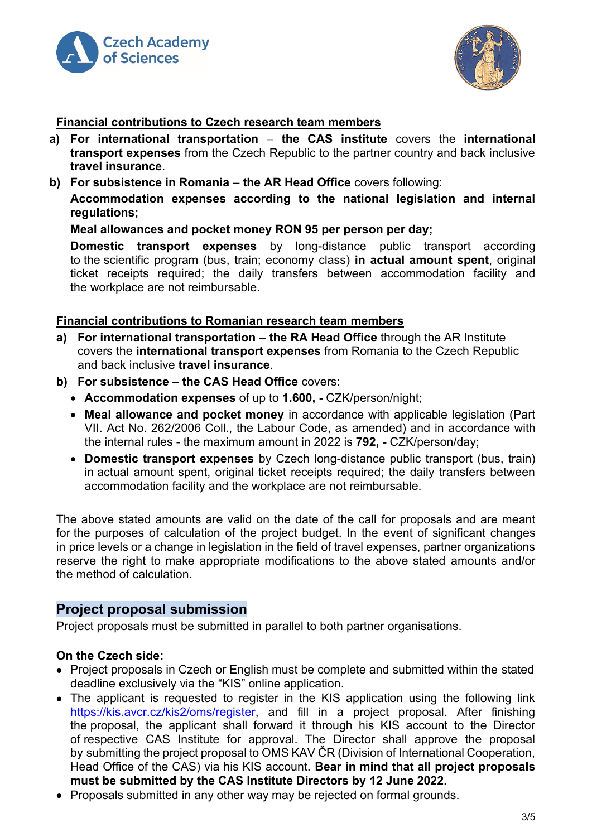



#### **Financial contributions to Czech research team members**

- **a) For international transportation the CAS institute** covers the **international transport expenses** from the Czech Republic to the partner country and back inclusive **travel insurance**.
- **b) For subsistence in Romania the AR Head Office** covers following:

**Accommodation expenses according to the national legislation and internal regulations;**

#### **Meal allowances and pocket money RON 95 per person per day;**

**Domestic transport expenses** by long-distance public transport according to the scientific program (bus, train; economy class) **in actual amount spent**, original ticket receipts required; the daily transfers between accommodation facility and the workplace are not reimbursable.

#### **Financial contributions to Romanian research team members**

- **a) For international transportation the RA Head Office** through the AR Institute covers the **international transport expenses** from Romania to the Czech Republic and back inclusive **travel insurance**.
- **b) For subsistence the CAS Head Office** covers:
	- **Accommodation expenses** of up to **1.600, -** CZK/person/night;
	- **Meal allowance and pocket money** in accordance with applicable legislation (Part VII. Act No. 262/2006 Coll., the Labour Code, as amended) and in accordance with the internal rules - the maximum amount in 2022 is **792, -** CZK/person/day;
	- **Domestic transport expenses** by Czech long-distance public transport (bus, train) in actual amount spent, original ticket receipts required; the daily transfers between accommodation facility and the workplace are not reimbursable.

The above stated amounts are valid on the date of the call for proposals and are meant for the purposes of calculation of the project budget. In the event of significant changes in price levels or a change in legislation in the field of travel expenses, partner organizations reserve the right to make appropriate modifications to the above stated amounts and/or the method of calculation.

#### **Project proposal submission**

Project proposals must be submitted in parallel to both partner organisations.

#### **On the Czech side:**

- Project proposals in Czech or English must be complete and submitted within the stated deadline exclusively via the "KIS" online application.
- The applicant is requested to register in the KIS application using the following link [https://kis.avcr.cz/kis2/oms/register,](https://kis.avcr.cz/kis2/oms/register) and fill in a project proposal. After finishing the proposal, the applicant shall forward it through his KIS account to the Director of respective CAS Institute for approval. The Director shall approve the proposal by submitting the project proposal to OMS KAV ČR (Division of International Cooperation, Head Office of the CAS) via his KIS account. **Bear in mind that all project proposals must be submitted by the CAS Institute Directors by 12 June 2022.**
- Proposals submitted in any other way may be rejected on formal grounds.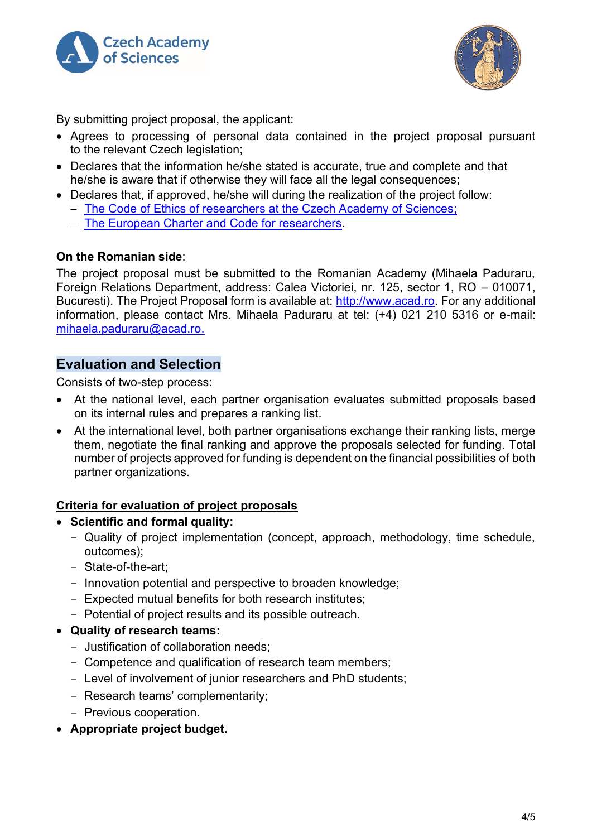



By submitting project proposal, the applicant:

- Agrees to processing of personal data contained in the project proposal pursuant to the relevant Czech legislation:
- Declares that the information he/she stated is accurate, true and complete and that he/she is aware that if otherwise they will face all the legal consequences;
- Declares that, if approved, he/she will during the realization of the project follow:
	- − [The Code of Ethics of researchers at the Czech Academy of Sciences;](http://www.avcr.cz/cs/o-nas/pravni-predpisy/eticky-kodex-vyzkumnych-pracovniku-v-av-cr/)
	- − [The European Charter and Code for researchers.](http://www.msmt.cz/file/35970)

#### **On the Romanian side**:

The project proposal must be submitted to the Romanian Academy (Mihaela Paduraru, Foreign Relations Department, address: Calea Victoriei, nr. 125, sector 1, RO – 010071, Bucuresti). The Project Proposal form is available at: [http://www.acad.ro.](http://www.acad.ro/) For any additional information, please contact Mrs. Mihaela Paduraru at tel: (+4) 021 210 5316 or e-mail: [mihaela.paduraru@acad.ro.](mailto:mihaela.paduraru@acad.ro)

#### **Evaluation and Selection**

Consists of two-step process:

- At the national level, each partner organisation evaluates submitted proposals based on its internal rules and prepares a ranking list.
- At the international level, both partner organisations exchange their ranking lists, merge them, negotiate the final ranking and approve the proposals selected for funding. Total number of projects approved for funding is dependent on the financial possibilities of both partner organizations.

#### **Criteria for evaluation of project proposals**

#### • **Scientific and formal quality:**

- Quality of project implementation (concept, approach, methodology, time schedule, outcomes);
- State-of-the-art;
- Innovation potential and perspective to broaden knowledge;
- Expected mutual benefits for both research institutes;
- Potential of project results and its possible outreach.
- **Quality of research teams:**
	- Justification of collaboration needs;
	- Competence and qualification of research team members;
	- Level of involvement of junior researchers and PhD students;
	- Research teams' complementarity;
	- Previous cooperation.
- **Appropriate project budget.**